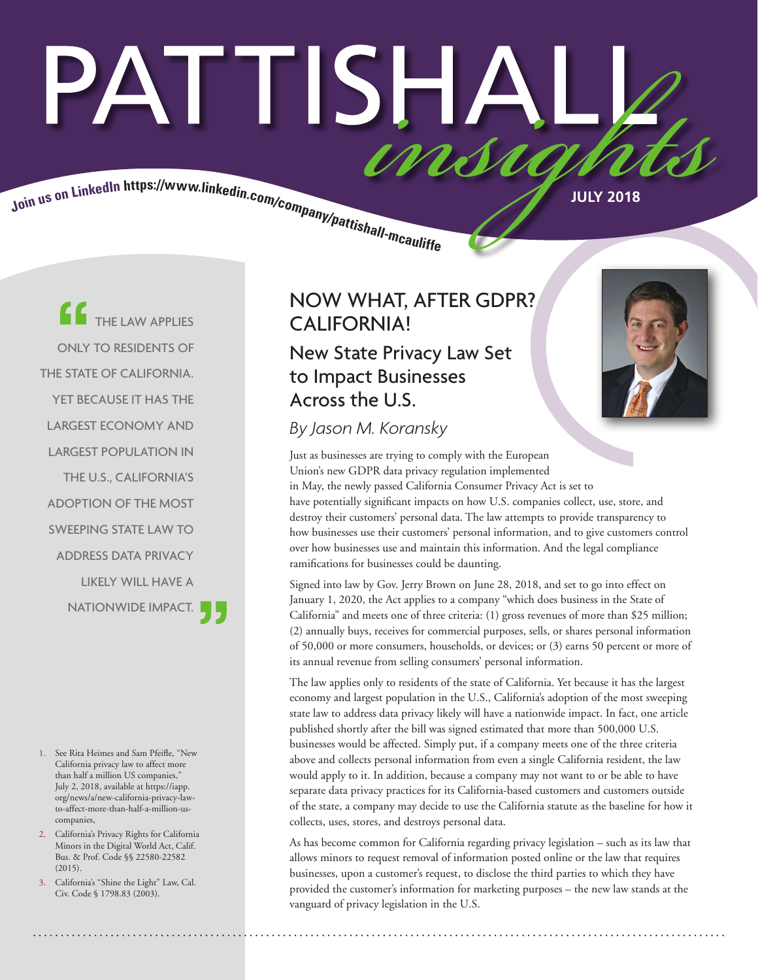# PATTISHA insia

Join us on LinkedIn https://www.linkedin.com/company/pattishall-mcaulity.

THE LAW APPLIES ONLY TO RESIDENTS OF THE STATE OF CALIFORNIA. YET BECAUSE IT HAS THE LARGEST ECONOMY AND LARGEST POPULATION IN THE U.S., CALIFORNIA'S ADOPTION OF THE MOST SWEEPING STATE LAW TO ADDRESS DATA PRIVACY LIKELY WILL HAVE A NATIONWIDE IMPACT.

- 1. See Rita Heimes and Sam Pfeifle, "New California privacy law to affect more than half a million US companies," July 2, 2018, available at https://iapp. org/news/a/new-california-privacy-lawto-affect-more-than-half-a-million-uscompanies,
- 2. California's Privacy Rights for California Minors in the Digital World Act, Calif. Bus. & Prof. Code §§ 22580-22582 (2015).
- California's "Shine the Light" Law, Cal. Civ. Code § 1798.83 (2003).

# NOW WHAT, AFTER GDPR? CALIFORNIA!

New State Privacy Law Set to Impact Businesses Across the U.S.

*By Jason M. Koransky*

Just as businesses are trying to comply with the European Union's new GDPR data privacy regulation implemented in May, the newly passed California Consumer Privacy Act is set to have potentially significant impacts on how U.S. companies collect, use, store, and destroy their customers' personal data. The law attempts to provide transparency to how businesses use their customers' personal information, and to give customers control over how businesses use and maintain this information. And the legal compliance ramifications for businesses could be daunting.

Signed into law by Gov. Jerry Brown on June 28, 2018, and set to go into effect on January 1, 2020, the Act applies to a company "which does business in the State of California" and meets one of three criteria: (1) gross revenues of more than \$25 million; (2) annually buys, receives for commercial purposes, sells, or shares personal information of 50,000 or more consumers, households, or devices; or (3) earns 50 percent or more of its annual revenue from selling consumers' personal information.

The law applies only to residents of the state of California. Yet because it has the largest economy and largest population in the U.S., California's adoption of the most sweeping state law to address data privacy likely will have a nationwide impact. In fact, one article published shortly after the bill was signed estimated that more than 500,000 U.S. businesses would be affected. Simply put, if a company meets one of the three criteria above and collects personal information from even a single California resident, the law would apply to it. In addition, because a company may not want to or be able to have separate data privacy practices for its California-based customers and customers outside of the state, a company may decide to use the California statute as the baseline for how it collects, uses, stores, and destroys personal data.

As has become common for California regarding privacy legislation – such as its law that allows minors to request removal of information posted online or the law that requires businesses, upon a customer's request, to disclose the third parties to which they have provided the customer's information for marketing purposes – the new law stands at the vanguard of privacy legislation in the U.S.

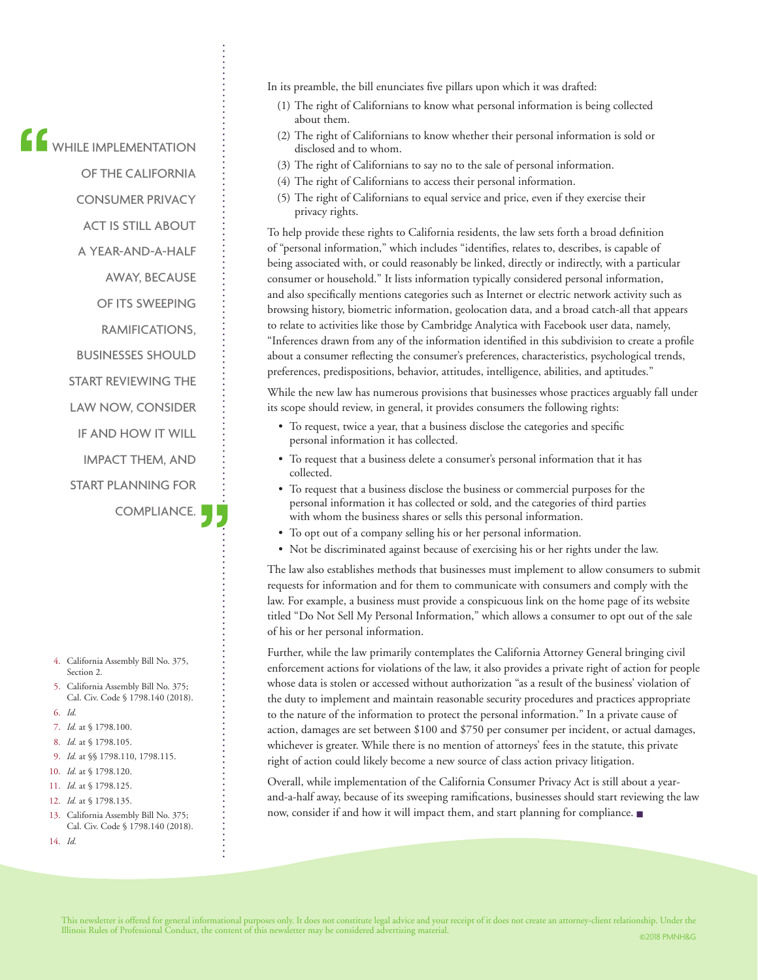$\begin{array}{l} \begin{array}{ccc} \bullet & \bullet & \bullet & \bullet & \bullet \\ \bullet & \bullet & \bullet & \bullet & \bullet & \bullet \end{array} \end{array}$ 

OF THE CALIFORNIA CONSUMER PRIVACY

- ACT IS STILL ABOUT
- A YEAR-AND-A-HALF

AWAY, BECAUSE

OF ITS SWEEPING

RAMIFICATIONS,

BUSINESSES SHOULD

START REVIEWING THE

LAW NOW, CONSIDER

IF AND HOW IT WILL

IMPACT THEM, AND

START PLANNING FOR

COMPLIANCE.

- 4. California Assembly Bill No. 375, Section 2.
- 5. California Assembly Bill No. 375; Cal. Civ. Code § 1798.140 (2018).
- 6. *Id.*
- 7. *Id.* at § 1798.100.
- 8. *Id.* at § 1798.105.
- 9. *Id.* at §§ 1798.110, 1798.115.
- 10. *Id.* at § 1798.120.
- 11. *Id.* at § 1798.125.
- 12. *Id.* at § 1798.135.
- 13. California Assembly Bill No. 375; Cal. Civ. Code § 1798.140 (2018).
- 14. *Id.*

In its preamble, the bill enunciates five pillars upon which it was drafted:

- (1) The right of Californians to know what personal information is being collected about them.
- (2) The right of Californians to know whether their personal information is sold or disclosed and to whom.
- (3) The right of Californians to say no to the sale of personal information.
- (4) The right of Californians to access their personal information.
- (5) The right of Californians to equal service and price, even if they exercise their privacy rights.

To help provide these rights to California residents, the law sets forth a broad definition of "personal information," which includes "identifies, relates to, describes, is capable of being associated with, or could reasonably be linked, directly or indirectly, with a particular consumer or household." It lists information typically considered personal information, and also specifically mentions categories such as Internet or electric network activity such as browsing history, biometric information, geolocation data, and a broad catch-all that appears to relate to activities like those by Cambridge Analytica with Facebook user data, namely, "Inferences drawn from any of the information identified in this subdivision to create a profile about a consumer reflecting the consumer's preferences, characteristics, psychological trends, preferences, predispositions, behavior, attitudes, intelligence, abilities, and aptitudes."

While the new law has numerous provisions that businesses whose practices arguably fall under its scope should review, in general, it provides consumers the following rights:

- To request, twice a year, that a business disclose the categories and specific personal information it has collected.
- To request that a business delete a consumer's personal information that it has collected.
- To request that a business disclose the business or commercial purposes for the personal information it has collected or sold, and the categories of third parties with whom the business shares or sells this personal information.
- To opt out of a company selling his or her personal information.
- Not be discriminated against because of exercising his or her rights under the law.

The law also establishes methods that businesses must implement to allow consumers to submit requests for information and for them to communicate with consumers and comply with the law. For example, a business must provide a conspicuous link on the home page of its website titled "Do Not Sell My Personal Information," which allows a consumer to opt out of the sale of his or her personal information.

Further, while the law primarily contemplates the California Attorney General bringing civil enforcement actions for violations of the law, it also provides a private right of action for people whose data is stolen or accessed without authorization "as a result of the business' violation of the duty to implement and maintain reasonable security procedures and practices appropriate to the nature of the information to protect the personal information." In a private cause of action, damages are set between \$100 and \$750 per consumer per incident, or actual damages, whichever is greater. While there is no mention of attorneys' fees in the statute, this private right of action could likely become a new source of class action privacy litigation.

Overall, while implementation of the California Consumer Privacy Act is still about a yearand-a-half away, because of its sweeping ramifications, businesses should start reviewing the law now, consider if and how it will impact them, and start planning for compliance. ■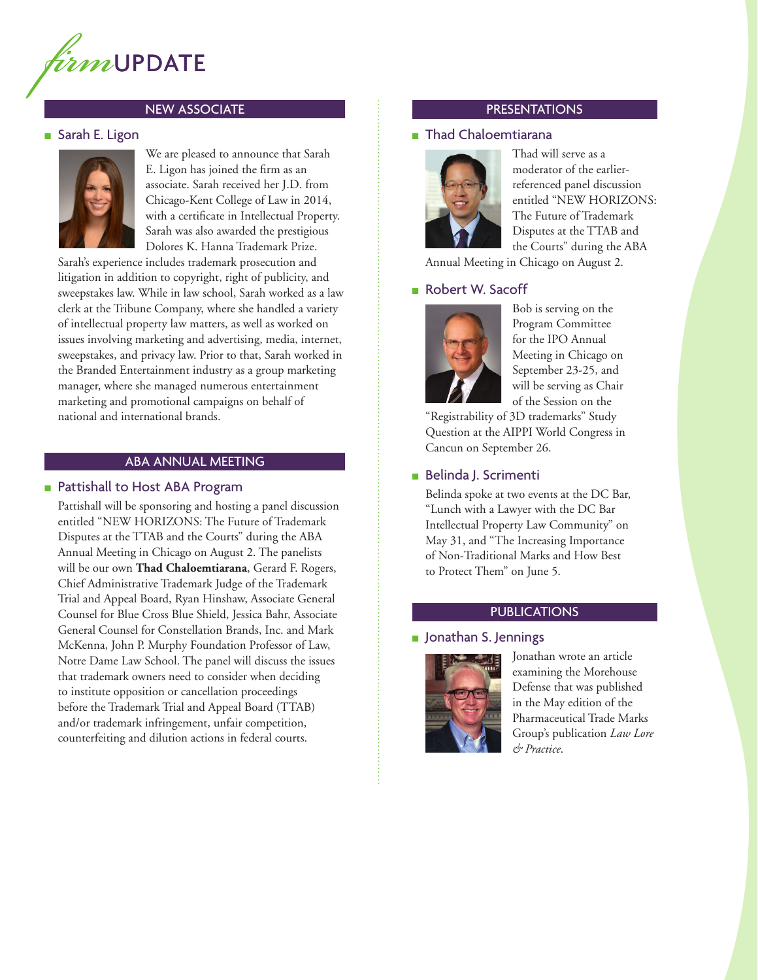

# NEW ASSOCIATE

#### ■ Sarah E. Ligon



We are pleased to announce that Sarah E. Ligon has joined the firm as an associate. Sarah received her J.D. from Chicago-Kent College of Law in 2014, with a certificate in Intellectual Property. Sarah was also awarded the prestigious Dolores K. Hanna Trademark Prize.

Sarah's experience includes trademark prosecution and litigation in addition to copyright, right of publicity, and sweepstakes law. While in law school, Sarah worked as a law clerk at the Tribune Company, where she handled a variety of intellectual property law matters, as well as worked on issues involving marketing and advertising, media, internet, sweepstakes, and privacy law. Prior to that, Sarah worked in the Branded Entertainment industry as a group marketing manager, where she managed numerous entertainment marketing and promotional campaigns on behalf of national and international brands.

#### ABA ANNUAL MEETING

#### ■ Pattishall to Host ABA Program

Pattishall will be sponsoring and hosting a panel discussion entitled "NEW HORIZONS: The Future of Trademark Disputes at the TTAB and the Courts" during the ABA Annual Meeting in Chicago on August 2. The panelists will be our own **Thad Chaloemtiarana**, Gerard F. Rogers, Chief Administrative Trademark Judge of the Trademark Trial and Appeal Board, Ryan Hinshaw, Associate General Counsel for Blue Cross Blue Shield, Jessica Bahr, Associate General Counsel for Constellation Brands, Inc. and Mark McKenna, John P. Murphy Foundation Professor of Law, Notre Dame Law School. The panel will discuss the issues that trademark owners need to consider when deciding to institute opposition or cancellation proceedings before the Trademark Trial and Appeal Board (TTAB) and/or trademark infringement, unfair competition, counterfeiting and dilution actions in federal courts.

# PRESENTATIONS

# ■ Thad Chaloemtiarana



Thad will serve as a moderator of the earlierreferenced panel discussion entitled "NEW HORIZONS: The Future of Trademark Disputes at the TTAB and the Courts" during the ABA

Annual Meeting in Chicago on August 2.

#### ■ Robert W. Sacoff



Bob is serving on the Program Committee for the IPO Annual Meeting in Chicago on September 23-25, and will be serving as Chair of the Session on the

"Registrability of 3D trademarks" Study Question at the AIPPI World Congress in Cancun on September 26.

#### ■ Belinda J. Scrimenti

Belinda spoke at two events at the DC Bar, "Lunch with a Lawyer with the DC Bar Intellectual Property Law Community" on May 31, and "The Increasing Importance of Non-Traditional Marks and How Best to Protect Them" on June 5.

### PUBLICATIONS

#### ■ Jonathan S. Jennings



Jonathan wrote an article examining the Morehouse Defense that was published in the May edition of the Pharmaceutical Trade Marks Group's publication *Law Lore & Practice*.